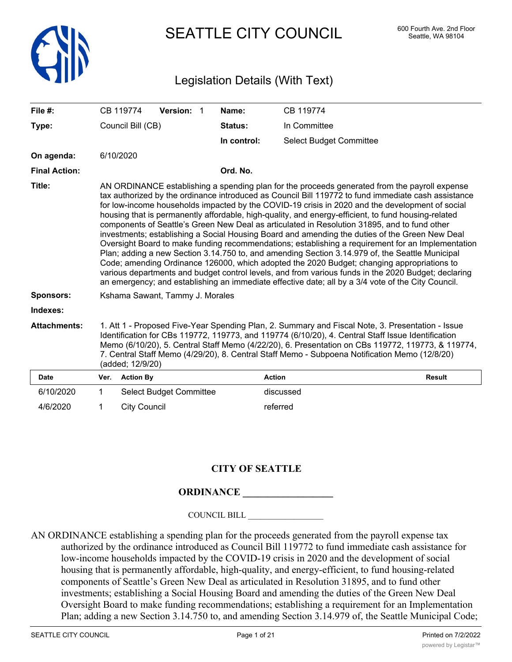

SEATTLE CITY COUNCIL 600 Fourth Ave. 2nd Floor

# Legislation Details (With Text)

| File $#$ :           |                                                                                                                                                                                                                                                                                                                                                                                                                                                                                                                                                                                                                                                                                                                                                                                                                                                                                                                                                                                                                                                                                                                                     | CB 119774           | Version: 1                     |  | Name:       | CB 119774                      |               |
|----------------------|-------------------------------------------------------------------------------------------------------------------------------------------------------------------------------------------------------------------------------------------------------------------------------------------------------------------------------------------------------------------------------------------------------------------------------------------------------------------------------------------------------------------------------------------------------------------------------------------------------------------------------------------------------------------------------------------------------------------------------------------------------------------------------------------------------------------------------------------------------------------------------------------------------------------------------------------------------------------------------------------------------------------------------------------------------------------------------------------------------------------------------------|---------------------|--------------------------------|--|-------------|--------------------------------|---------------|
| Type:                |                                                                                                                                                                                                                                                                                                                                                                                                                                                                                                                                                                                                                                                                                                                                                                                                                                                                                                                                                                                                                                                                                                                                     | Council Bill (CB)   |                                |  | Status:     | In Committee                   |               |
|                      |                                                                                                                                                                                                                                                                                                                                                                                                                                                                                                                                                                                                                                                                                                                                                                                                                                                                                                                                                                                                                                                                                                                                     |                     |                                |  | In control: | <b>Select Budget Committee</b> |               |
| On agenda:           |                                                                                                                                                                                                                                                                                                                                                                                                                                                                                                                                                                                                                                                                                                                                                                                                                                                                                                                                                                                                                                                                                                                                     | 6/10/2020           |                                |  |             |                                |               |
| <b>Final Action:</b> |                                                                                                                                                                                                                                                                                                                                                                                                                                                                                                                                                                                                                                                                                                                                                                                                                                                                                                                                                                                                                                                                                                                                     |                     |                                |  | Ord. No.    |                                |               |
| Title:               | AN ORDINANCE establishing a spending plan for the proceeds generated from the payroll expense<br>tax authorized by the ordinance introduced as Council Bill 119772 to fund immediate cash assistance<br>for low-income households impacted by the COVID-19 crisis in 2020 and the development of social<br>housing that is permanently affordable, high-quality, and energy-efficient, to fund housing-related<br>components of Seattle's Green New Deal as articulated in Resolution 31895, and to fund other<br>investments; establishing a Social Housing Board and amending the duties of the Green New Deal<br>Oversight Board to make funding recommendations; establishing a requirement for an Implementation<br>Plan; adding a new Section 3.14.750 to, and amending Section 3.14.979 of, the Seattle Municipal<br>Code; amending Ordinance 126000, which adopted the 2020 Budget; changing appropriations to<br>various departments and budget control levels, and from various funds in the 2020 Budget; declaring<br>an emergency; and establishing an immediate effective date; all by a 3/4 vote of the City Council. |                     |                                |  |             |                                |               |
| <b>Sponsors:</b>     | Kshama Sawant, Tammy J. Morales                                                                                                                                                                                                                                                                                                                                                                                                                                                                                                                                                                                                                                                                                                                                                                                                                                                                                                                                                                                                                                                                                                     |                     |                                |  |             |                                |               |
| Indexes:             |                                                                                                                                                                                                                                                                                                                                                                                                                                                                                                                                                                                                                                                                                                                                                                                                                                                                                                                                                                                                                                                                                                                                     |                     |                                |  |             |                                |               |
| <b>Attachments:</b>  | 1. Att 1 - Proposed Five-Year Spending Plan, 2. Summary and Fiscal Note, 3. Presentation - Issue<br>Identification for CBs 119772, 119773, and 119774 (6/10/20), 4. Central Staff Issue Identification<br>Memo (6/10/20), 5. Central Staff Memo (4/22/20), 6. Presentation on CBs 119772, 119773, & 119774,<br>7. Central Staff Memo (4/29/20), 8. Central Staff Memo - Subpoena Notification Memo (12/8/20)<br>(added; 12/9/20)                                                                                                                                                                                                                                                                                                                                                                                                                                                                                                                                                                                                                                                                                                    |                     |                                |  |             |                                |               |
| <b>Date</b>          | Ver.                                                                                                                                                                                                                                                                                                                                                                                                                                                                                                                                                                                                                                                                                                                                                                                                                                                                                                                                                                                                                                                                                                                                | <b>Action By</b>    |                                |  |             | <b>Action</b>                  | <b>Result</b> |
| 6/10/2020            | $\mathbf{1}$                                                                                                                                                                                                                                                                                                                                                                                                                                                                                                                                                                                                                                                                                                                                                                                                                                                                                                                                                                                                                                                                                                                        |                     | <b>Select Budget Committee</b> |  |             | discussed                      |               |
| 4/6/2020             | 1                                                                                                                                                                                                                                                                                                                                                                                                                                                                                                                                                                                                                                                                                                                                                                                                                                                                                                                                                                                                                                                                                                                                   | <b>City Council</b> |                                |  |             | referred                       |               |

## **CITY OF SEATTLE**

## **ORDINANCE**

COUNCIL BILL \_\_\_\_\_\_\_\_\_\_\_\_\_\_\_\_\_\_

AN ORDINANCE establishing a spending plan for the proceeds generated from the payroll expense tax authorized by the ordinance introduced as Council Bill 119772 to fund immediate cash assistance for low-income households impacted by the COVID-19 crisis in 2020 and the development of social housing that is permanently affordable, high-quality, and energy-efficient, to fund housing-related components of Seattle's Green New Deal as articulated in Resolution 31895, and to fund other investments; establishing a Social Housing Board and amending the duties of the Green New Deal Oversight Board to make funding recommendations; establishing a requirement for an Implementation Plan; adding a new Section 3.14.750 to, and amending Section 3.14.979 of, the Seattle Municipal Code;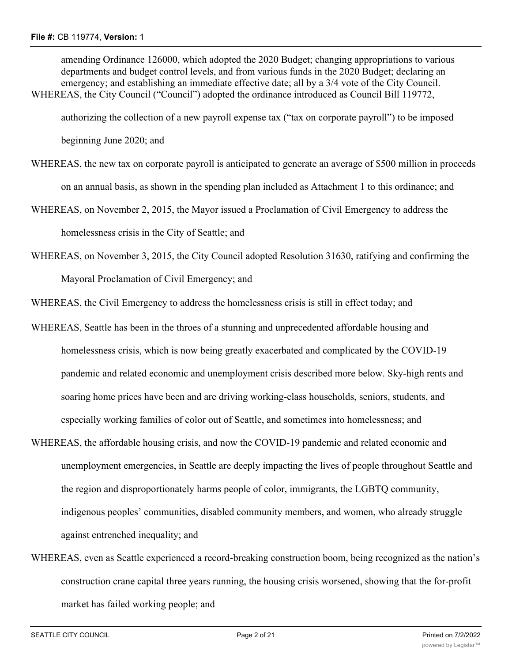amending Ordinance 126000, which adopted the 2020 Budget; changing appropriations to various departments and budget control levels, and from various funds in the 2020 Budget; declaring an emergency; and establishing an immediate effective date; all by a  $3/4$  vote of the City Council. WHEREAS, the City Council ("Council") adopted the ordinance introduced as Council Bill 119772.

authorizing the collection of a new payroll expense tax ("tax on corporate payroll") to be imposed

beginning June 2020; and

- WHEREAS, the new tax on corporate payroll is anticipated to generate an average of \$500 million in proceeds on an annual basis, as shown in the spending plan included as Attachment 1 to this ordinance; and
- WHEREAS, on November 2, 2015, the Mayor issued a Proclamation of Civil Emergency to address the homelessness crisis in the City of Seattle; and
- WHEREAS, on November 3, 2015, the City Council adopted Resolution 31630, ratifying and confirming the Mayoral Proclamation of Civil Emergency; and

WHEREAS, the Civil Emergency to address the homelessness crisis is still in effect today; and

- WHEREAS, Seattle has been in the throes of a stunning and unprecedented affordable housing and homelessness crisis, which is now being greatly exacerbated and complicated by the COVID-19 pandemic and related economic and unemployment crisis described more below. Sky-high rents and soaring home prices have been and are driving working-class households, seniors, students, and especially working families of color out of Seattle, and sometimes into homelessness; and
- WHEREAS, the affordable housing crisis, and now the COVID-19 pandemic and related economic and unemployment emergencies, in Seattle are deeply impacting the lives of people throughout Seattle and the region and disproportionately harms people of color, immigrants, the LGBTQ community, indigenous peoples' communities, disabled community members, and women, who already struggle against entrenched inequality; and
- WHEREAS, even as Seattle experienced a record-breaking construction boom, being recognized as the nation's construction crane capital three years running, the housing crisis worsened, showing that the for-profit market has failed working people; and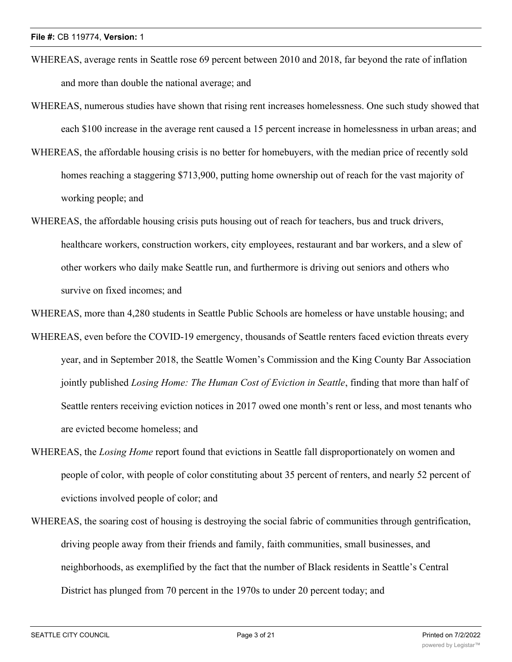- WHEREAS, average rents in Seattle rose 69 percent between 2010 and 2018, far beyond the rate of inflation and more than double the national average; and
- WHEREAS, numerous studies have shown that rising rent increases homelessness. One such study showed that each \$100 increase in the average rent caused a 15 percent increase in homelessness in urban areas; and
- WHEREAS, the affordable housing crisis is no better for homebuyers, with the median price of recently sold homes reaching a staggering \$713,900, putting home ownership out of reach for the vast majority of working people; and
- WHEREAS, the affordable housing crisis puts housing out of reach for teachers, bus and truck drivers, healthcare workers, construction workers, city employees, restaurant and bar workers, and a slew of other workers who daily make Seattle run, and furthermore is driving out seniors and others who survive on fixed incomes; and

WHEREAS, more than 4,280 students in Seattle Public Schools are homeless or have unstable housing; and

WHEREAS, even before the COVID-19 emergency, thousands of Seattle renters faced eviction threats every year, and in September 2018, the Seattle Women's Commission and the King County Bar Association jointly published *Losing Home: The Human Cost of Eviction in Seattle*, finding that more than half of Seattle renters receiving eviction notices in 2017 owed one month's rent or less, and most tenants who are evicted become homeless; and

- WHEREAS, the *Losing Home* report found that evictions in Seattle fall disproportionately on women and people of color, with people of color constituting about 35 percent of renters, and nearly 52 percent of evictions involved people of color; and
- WHEREAS, the soaring cost of housing is destroying the social fabric of communities through gentrification, driving people away from their friends and family, faith communities, small businesses, and neighborhoods, as exemplified by the fact that the number of Black residents in Seattle's Central District has plunged from 70 percent in the 1970s to under 20 percent today; and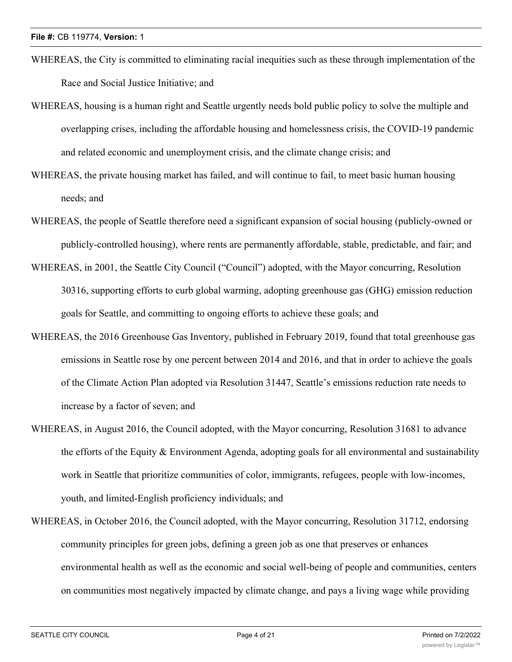- WHEREAS, the City is committed to eliminating racial inequities such as these through implementation of the Race and Social Justice Initiative; and
- WHEREAS, housing is a human right and Seattle urgently needs bold public policy to solve the multiple and overlapping crises, including the affordable housing and homelessness crisis, the COVID-19 pandemic and related economic and unemployment crisis, and the climate change crisis; and
- WHEREAS, the private housing market has failed, and will continue to fail, to meet basic human housing needs; and
- WHEREAS, the people of Seattle therefore need a significant expansion of social housing (publicly-owned or publicly-controlled housing), where rents are permanently affordable, stable, predictable, and fair; and
- WHEREAS, in 2001, the Seattle City Council ("Council") adopted, with the Mayor concurring, Resolution 30316, supporting efforts to curb global warming, adopting greenhouse gas (GHG) emission reduction goals for Seattle, and committing to ongoing efforts to achieve these goals; and
- WHEREAS, the 2016 Greenhouse Gas Inventory, published in February 2019, found that total greenhouse gas emissions in Seattle rose by one percent between 2014 and 2016, and that in order to achieve the goals of the Climate Action Plan adopted via Resolution 31447, Seattle's emissions reduction rate needs to increase by a factor of seven; and
- WHEREAS, in August 2016, the Council adopted, with the Mayor concurring, Resolution 31681 to advance the efforts of the Equity  $\&$  Environment Agenda, adopting goals for all environmental and sustainability work in Seattle that prioritize communities of color, immigrants, refugees, people with low-incomes, youth, and limited-English proficiency individuals; and
- WHEREAS, in October 2016, the Council adopted, with the Mayor concurring, Resolution 31712, endorsing community principles for green jobs, defining a green job as one that preserves or enhances environmental health as well as the economic and social well-being of people and communities, centers on communities most negatively impacted by climate change, and pays a living wage while providing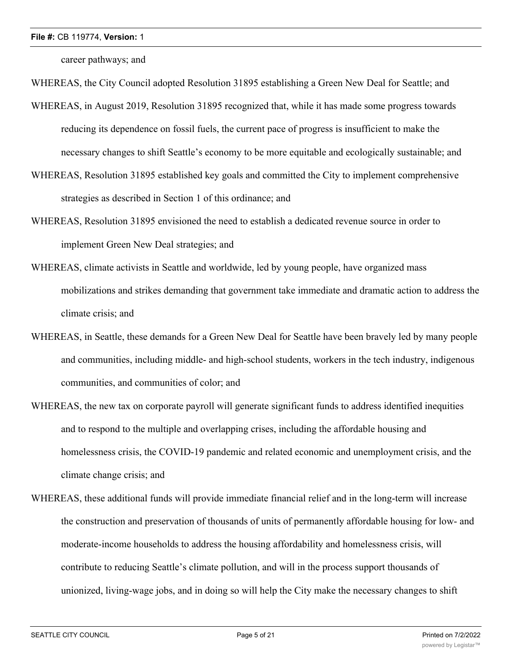career pathways; and

WHEREAS, the City Council adopted Resolution 31895 establishing a Green New Deal for Seattle; and

- WHEREAS, in August 2019, Resolution 31895 recognized that, while it has made some progress towards reducing its dependence on fossil fuels, the current pace of progress is insufficient to make the necessary changes to shift Seattle's economy to be more equitable and ecologically sustainable; and
- WHEREAS, Resolution 31895 established key goals and committed the City to implement comprehensive strategies as described in Section 1 of this ordinance; and
- WHEREAS, Resolution 31895 envisioned the need to establish a dedicated revenue source in order to implement Green New Deal strategies; and
- WHEREAS, climate activists in Seattle and worldwide, led by young people, have organized mass mobilizations and strikes demanding that government take immediate and dramatic action to address the climate crisis; and
- WHEREAS, in Seattle, these demands for a Green New Deal for Seattle have been bravely led by many people and communities, including middle- and high-school students, workers in the tech industry, indigenous communities, and communities of color; and
- WHEREAS, the new tax on corporate payroll will generate significant funds to address identified inequities and to respond to the multiple and overlapping crises, including the affordable housing and homelessness crisis, the COVID-19 pandemic and related economic and unemployment crisis, and the climate change crisis; and
- WHEREAS, these additional funds will provide immediate financial relief and in the long-term will increase the construction and preservation of thousands of units of permanently affordable housing for low- and moderate-income households to address the housing affordability and homelessness crisis, will contribute to reducing Seattle's climate pollution, and will in the process support thousands of unionized, living-wage jobs, and in doing so will help the City make the necessary changes to shift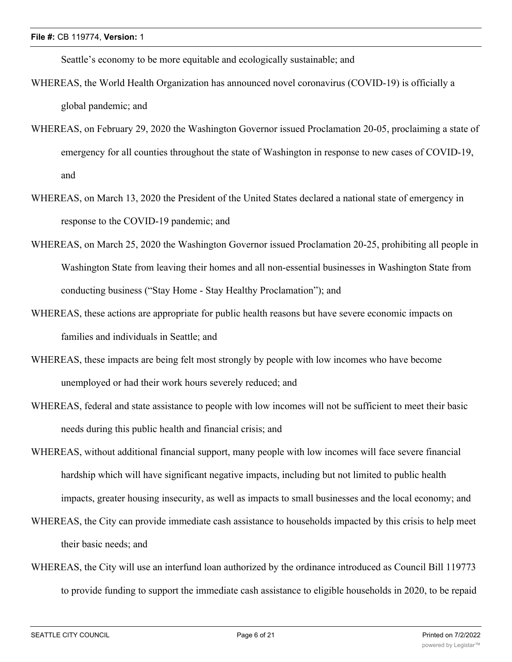Seattle's economy to be more equitable and ecologically sustainable; and

- WHEREAS, the World Health Organization has announced novel coronavirus (COVID-19) is officially a global pandemic; and
- WHEREAS, on February 29, 2020 the Washington Governor issued Proclamation 20-05, proclaiming a state of emergency for all counties throughout the state of Washington in response to new cases of COVID-19, and
- WHEREAS, on March 13, 2020 the President of the United States declared a national state of emergency in response to the COVID-19 pandemic; and
- WHEREAS, on March 25, 2020 the Washington Governor issued Proclamation 20-25, prohibiting all people in Washington State from leaving their homes and all non-essential businesses in Washington State from conducting business ("Stay Home - Stay Healthy Proclamation"); and
- WHEREAS, these actions are appropriate for public health reasons but have severe economic impacts on families and individuals in Seattle; and
- WHEREAS, these impacts are being felt most strongly by people with low incomes who have become unemployed or had their work hours severely reduced; and
- WHEREAS, federal and state assistance to people with low incomes will not be sufficient to meet their basic needs during this public health and financial crisis; and
- WHEREAS, without additional financial support, many people with low incomes will face severe financial hardship which will have significant negative impacts, including but not limited to public health impacts, greater housing insecurity, as well as impacts to small businesses and the local economy; and
- WHEREAS, the City can provide immediate cash assistance to households impacted by this crisis to help meet their basic needs; and
- WHEREAS, the City will use an interfund loan authorized by the ordinance introduced as Council Bill 119773 to provide funding to support the immediate cash assistance to eligible households in 2020, to be repaid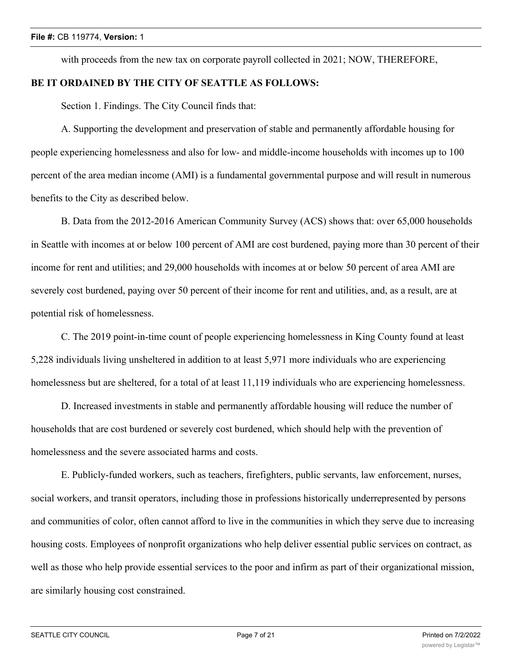with proceeds from the new tax on corporate payroll collected in 2021; NOW, THEREFORE, **BE IT ORDAINED BY THE CITY OF SEATTLE AS FOLLOWS:**

Section 1. Findings. The City Council finds that:

A. Supporting the development and preservation of stable and permanently affordable housing for people experiencing homelessness and also for low- and middle-income households with incomes up to 100 percent of the area median income (AMI) is a fundamental governmental purpose and will result in numerous benefits to the City as described below.

B. Data from the 2012-2016 American Community Survey (ACS) shows that: over 65,000 households in Seattle with incomes at or below 100 percent of AMI are cost burdened, paying more than 30 percent of their income for rent and utilities; and 29,000 households with incomes at or below 50 percent of area AMI are severely cost burdened, paying over 50 percent of their income for rent and utilities, and, as a result, are at potential risk of homelessness.

C. The 2019 point-in-time count of people experiencing homelessness in King County found at least 5,228 individuals living unsheltered in addition to at least 5,971 more individuals who are experiencing homelessness but are sheltered, for a total of at least 11,119 individuals who are experiencing homelessness.

D. Increased investments in stable and permanently affordable housing will reduce the number of households that are cost burdened or severely cost burdened, which should help with the prevention of homelessness and the severe associated harms and costs.

E. Publicly-funded workers, such as teachers, firefighters, public servants, law enforcement, nurses, social workers, and transit operators, including those in professions historically underrepresented by persons and communities of color, often cannot afford to live in the communities in which they serve due to increasing housing costs. Employees of nonprofit organizations who help deliver essential public services on contract, as well as those who help provide essential services to the poor and infirm as part of their organizational mission, are similarly housing cost constrained.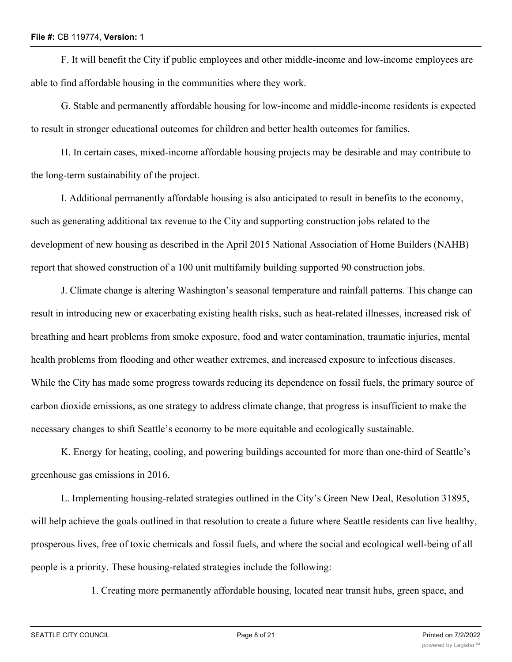F. It will benefit the City if public employees and other middle-income and low-income employees are able to find affordable housing in the communities where they work.

G. Stable and permanently affordable housing for low-income and middle-income residents is expected to result in stronger educational outcomes for children and better health outcomes for families.

H. In certain cases, mixed-income affordable housing projects may be desirable and may contribute to the long-term sustainability of the project.

I. Additional permanently affordable housing is also anticipated to result in benefits to the economy, such as generating additional tax revenue to the City and supporting construction jobs related to the development of new housing as described in the April 2015 National Association of Home Builders (NAHB) report that showed construction of a 100 unit multifamily building supported 90 construction jobs.

J. Climate change is altering Washington's seasonal temperature and rainfall patterns. This change can result in introducing new or exacerbating existing health risks, such as heat-related illnesses, increased risk of breathing and heart problems from smoke exposure, food and water contamination, traumatic injuries, mental health problems from flooding and other weather extremes, and increased exposure to infectious diseases. While the City has made some progress towards reducing its dependence on fossil fuels, the primary source of carbon dioxide emissions, as one strategy to address climate change, that progress is insufficient to make the necessary changes to shift Seattle's economy to be more equitable and ecologically sustainable.

K. Energy for heating, cooling, and powering buildings accounted for more than one-third of Seattle's greenhouse gas emissions in 2016.

L. Implementing housing-related strategies outlined in the City's Green New Deal, Resolution 31895, will help achieve the goals outlined in that resolution to create a future where Seattle residents can live healthy, prosperous lives, free of toxic chemicals and fossil fuels, and where the social and ecological well-being of all people is a priority. These housing-related strategies include the following:

1. Creating more permanently affordable housing, located near transit hubs, green space, and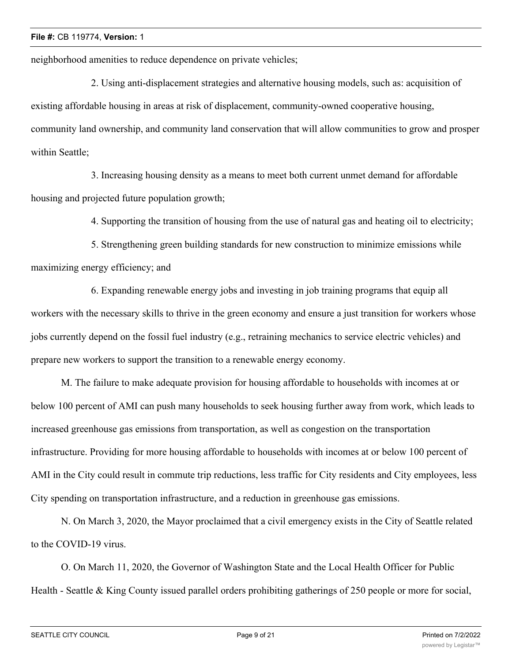neighborhood amenities to reduce dependence on private vehicles;

2. Using anti-displacement strategies and alternative housing models, such as: acquisition of existing affordable housing in areas at risk of displacement, community-owned cooperative housing, community land ownership, and community land conservation that will allow communities to grow and prosper within Seattle;

3. Increasing housing density as a means to meet both current unmet demand for affordable housing and projected future population growth;

4. Supporting the transition of housing from the use of natural gas and heating oil to electricity;

5. Strengthening green building standards for new construction to minimize emissions while maximizing energy efficiency; and

6. Expanding renewable energy jobs and investing in job training programs that equip all workers with the necessary skills to thrive in the green economy and ensure a just transition for workers whose jobs currently depend on the fossil fuel industry (e.g., retraining mechanics to service electric vehicles) and prepare new workers to support the transition to a renewable energy economy.

M. The failure to make adequate provision for housing affordable to households with incomes at or below 100 percent of AMI can push many households to seek housing further away from work, which leads to increased greenhouse gas emissions from transportation, as well as congestion on the transportation infrastructure. Providing for more housing affordable to households with incomes at or below 100 percent of AMI in the City could result in commute trip reductions, less traffic for City residents and City employees, less City spending on transportation infrastructure, and a reduction in greenhouse gas emissions.

N. On March 3, 2020, the Mayor proclaimed that a civil emergency exists in the City of Seattle related to the COVID-19 virus.

O. On March 11, 2020, the Governor of Washington State and the Local Health Officer for Public Health - Seattle & King County issued parallel orders prohibiting gatherings of 250 people or more for social,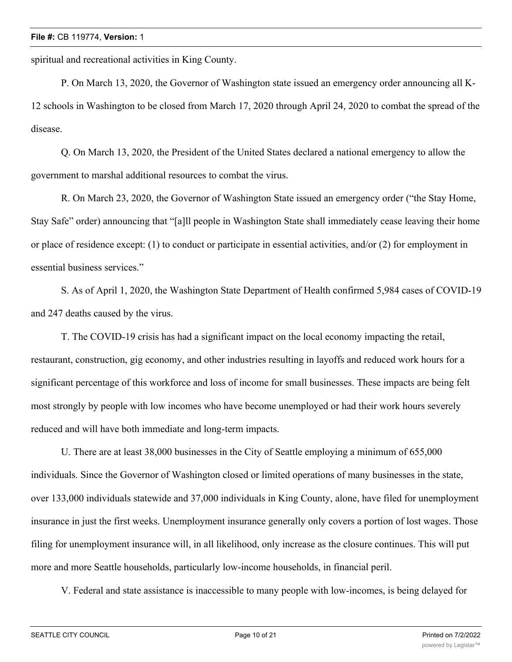spiritual and recreational activities in King County.

P. On March 13, 2020, the Governor of Washington state issued an emergency order announcing all K-12 schools in Washington to be closed from March 17, 2020 through April 24, 2020 to combat the spread of the disease.

Q. On March 13, 2020, the President of the United States declared a national emergency to allow the government to marshal additional resources to combat the virus.

R. On March 23, 2020, the Governor of Washington State issued an emergency order ("the Stay Home, Stay Safe" order) announcing that "[a]ll people in Washington State shall immediately cease leaving their home or place of residence except: (1) to conduct or participate in essential activities, and/or (2) for employment in essential business services."

S. As of April 1, 2020, the Washington State Department of Health confirmed 5,984 cases of COVID-19 and 247 deaths caused by the virus.

T. The COVID-19 crisis has had a significant impact on the local economy impacting the retail, restaurant, construction, gig economy, and other industries resulting in layoffs and reduced work hours for a significant percentage of this workforce and loss of income for small businesses. These impacts are being felt most strongly by people with low incomes who have become unemployed or had their work hours severely reduced and will have both immediate and long-term impacts.

U. There are at least 38,000 businesses in the City of Seattle employing a minimum of 655,000 individuals. Since the Governor of Washington closed or limited operations of many businesses in the state, over 133,000 individuals statewide and 37,000 individuals in King County, alone, have filed for unemployment insurance in just the first weeks. Unemployment insurance generally only covers a portion of lost wages. Those filing for unemployment insurance will, in all likelihood, only increase as the closure continues. This will put more and more Seattle households, particularly low-income households, in financial peril.

V. Federal and state assistance is inaccessible to many people with low-incomes, is being delayed for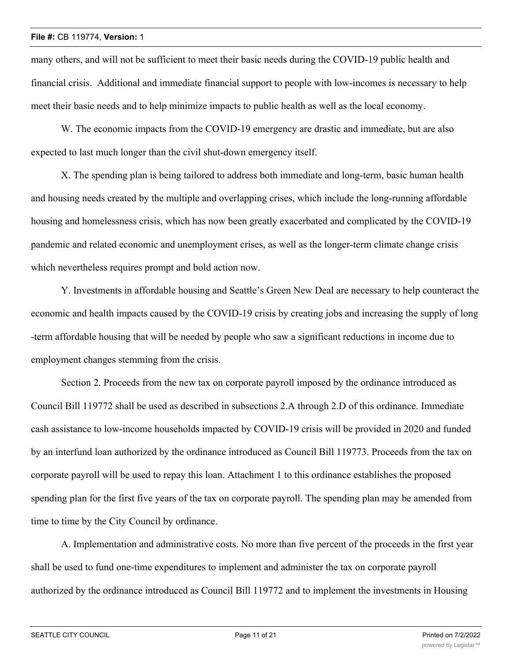many others, and will not be sufficient to meet their basic needs during the COVID-19 public health and financial crisis. Additional and immediate financial support to people with low-incomes is necessary to help meet their basic needs and to help minimize impacts to public health as well as the local economy.

W. The economic impacts from the COVID-19 emergency are drastic and immediate, but are also expected to last much longer than the civil shut-down emergency itself.

X. The spending plan is being tailored to address both immediate and long-term, basic human health and housing needs created by the multiple and overlapping crises, which include the long-running affordable housing and homelessness crisis, which has now been greatly exacerbated and complicated by the COVID-19 pandemic and related economic and unemployment crises, as well as the longer-term climate change crisis which nevertheless requires prompt and bold action now.

Y. Investments in affordable housing and Seattle's Green New Deal are necessary to help counteract the economic and health impacts caused by the COVID-19 crisis by creating jobs and increasing the supply of long -term affordable housing that will be needed by people who saw a significant reductions in income due to employment changes stemming from the crisis.

Section 2. Proceeds from the new tax on corporate payroll imposed by the ordinance introduced as Council Bill 119772 shall be used as described in subsections 2.A through 2.D of this ordinance. Immediate cash assistance to low-income households impacted by COVID-19 crisis will be provided in 2020 and funded by an interfund loan authorized by the ordinance introduced as Council Bill 119773. Proceeds from the tax on corporate payroll will be used to repay this loan. Attachment 1 to this ordinance establishes the proposed spending plan for the first five years of the tax on corporate payroll. The spending plan may be amended from time to time by the City Council by ordinance.

A. Implementation and administrative costs. No more than five percent of the proceeds in the first year shall be used to fund one-time expenditures to implement and administer the tax on corporate payroll authorized by the ordinance introduced as Council Bill 119772 and to implement the investments in Housing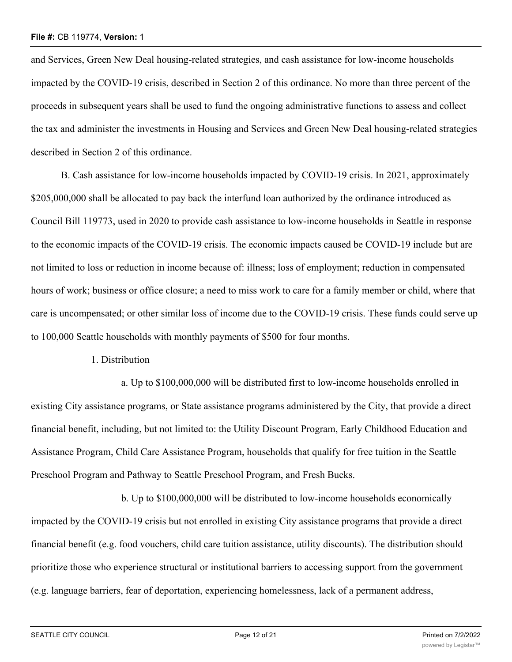and Services, Green New Deal housing-related strategies, and cash assistance for low-income households impacted by the COVID-19 crisis, described in Section 2 of this ordinance. No more than three percent of the proceeds in subsequent years shall be used to fund the ongoing administrative functions to assess and collect the tax and administer the investments in Housing and Services and Green New Deal housing-related strategies described in Section 2 of this ordinance.

B. Cash assistance for low-income households impacted by COVID-19 crisis. In 2021, approximately \$205,000,000 shall be allocated to pay back the interfund loan authorized by the ordinance introduced as Council Bill 119773, used in 2020 to provide cash assistance to low-income households in Seattle in response to the economic impacts of the COVID-19 crisis. The economic impacts caused be COVID-19 include but are not limited to loss or reduction in income because of: illness; loss of employment; reduction in compensated hours of work; business or office closure; a need to miss work to care for a family member or child, where that care is uncompensated; or other similar loss of income due to the COVID-19 crisis. These funds could serve up to 100,000 Seattle households with monthly payments of \$500 for four months.

## 1. Distribution

a. Up to \$100,000,000 will be distributed first to low-income households enrolled in existing City assistance programs, or State assistance programs administered by the City, that provide a direct financial benefit, including, but not limited to: the Utility Discount Program, Early Childhood Education and Assistance Program, Child Care Assistance Program, households that qualify for free tuition in the Seattle Preschool Program and Pathway to Seattle Preschool Program, and Fresh Bucks.

b. Up to \$100,000,000 will be distributed to low-income households economically impacted by the COVID-19 crisis but not enrolled in existing City assistance programs that provide a direct financial benefit (e.g. food vouchers, child care tuition assistance, utility discounts). The distribution should prioritize those who experience structural or institutional barriers to accessing support from the government (e.g. language barriers, fear of deportation, experiencing homelessness, lack of a permanent address,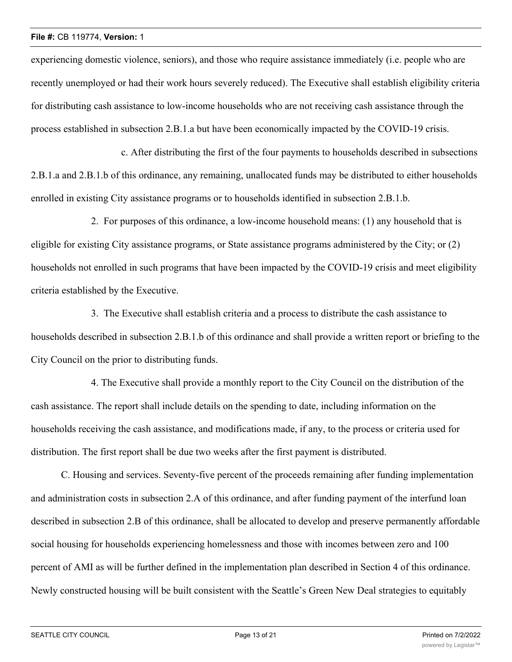experiencing domestic violence, seniors), and those who require assistance immediately (i.e. people who are recently unemployed or had their work hours severely reduced). The Executive shall establish eligibility criteria for distributing cash assistance to low-income households who are not receiving cash assistance through the process established in subsection 2.B.1.a but have been economically impacted by the COVID-19 crisis.

c. After distributing the first of the four payments to households described in subsections 2.B.1.a and 2.B.1.b of this ordinance, any remaining, unallocated funds may be distributed to either households enrolled in existing City assistance programs or to households identified in subsection 2.B.1.b.

2. For purposes of this ordinance, a low-income household means: (1) any household that is eligible for existing City assistance programs, or State assistance programs administered by the City; or (2) households not enrolled in such programs that have been impacted by the COVID-19 crisis and meet eligibility criteria established by the Executive.

3. The Executive shall establish criteria and a process to distribute the cash assistance to households described in subsection 2.B.1.b of this ordinance and shall provide a written report or briefing to the City Council on the prior to distributing funds.

4. The Executive shall provide a monthly report to the City Council on the distribution of the cash assistance. The report shall include details on the spending to date, including information on the households receiving the cash assistance, and modifications made, if any, to the process or criteria used for distribution. The first report shall be due two weeks after the first payment is distributed.

C. Housing and services. Seventy-five percent of the proceeds remaining after funding implementation and administration costs in subsection 2.A of this ordinance, and after funding payment of the interfund loan described in subsection 2.B of this ordinance, shall be allocated to develop and preserve permanently affordable social housing for households experiencing homelessness and those with incomes between zero and 100 percent of AMI as will be further defined in the implementation plan described in Section 4 of this ordinance. Newly constructed housing will be built consistent with the Seattle's Green New Deal strategies to equitably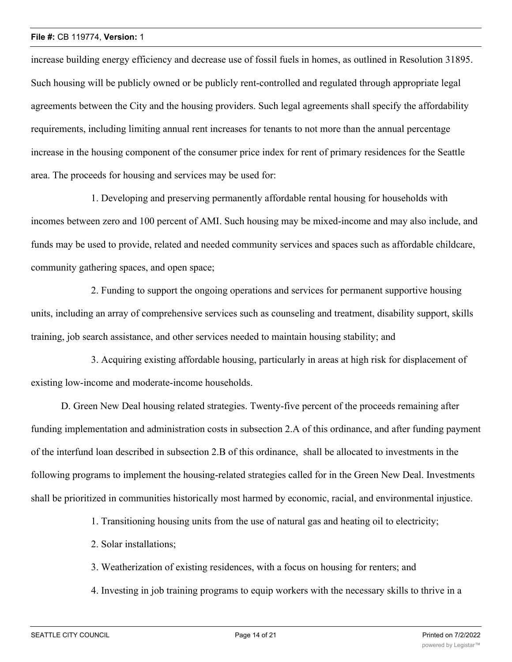increase building energy efficiency and decrease use of fossil fuels in homes, as outlined in Resolution 31895. Such housing will be publicly owned or be publicly rent-controlled and regulated through appropriate legal agreements between the City and the housing providers. Such legal agreements shall specify the affordability requirements, including limiting annual rent increases for tenants to not more than the annual percentage increase in the housing component of the consumer price index for rent of primary residences for the Seattle area. The proceeds for housing and services may be used for:

1. Developing and preserving permanently affordable rental housing for households with incomes between zero and 100 percent of AMI. Such housing may be mixed-income and may also include, and funds may be used to provide, related and needed community services and spaces such as affordable childcare, community gathering spaces, and open space;

2. Funding to support the ongoing operations and services for permanent supportive housing units, including an array of comprehensive services such as counseling and treatment, disability support, skills training, job search assistance, and other services needed to maintain housing stability; and

3. Acquiring existing affordable housing, particularly in areas at high risk for displacement of existing low-income and moderate-income households.

D. Green New Deal housing related strategies. Twenty-five percent of the proceeds remaining after funding implementation and administration costs in subsection 2.A of this ordinance, and after funding payment of the interfund loan described in subsection 2.B of this ordinance, shall be allocated to investments in the following programs to implement the housing-related strategies called for in the Green New Deal. Investments shall be prioritized in communities historically most harmed by economic, racial, and environmental injustice.

1. Transitioning housing units from the use of natural gas and heating oil to electricity;

2. Solar installations;

3. Weatherization of existing residences, with a focus on housing for renters; and

4. Investing in job training programs to equip workers with the necessary skills to thrive in a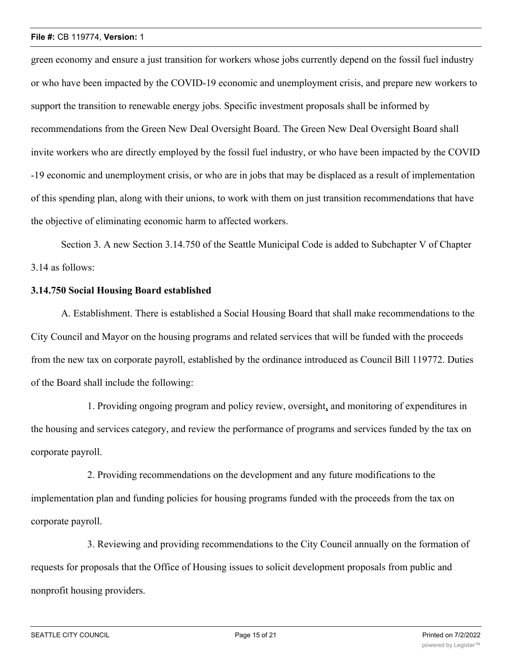green economy and ensure a just transition for workers whose jobs currently depend on the fossil fuel industry or who have been impacted by the COVID-19 economic and unemployment crisis, and prepare new workers to support the transition to renewable energy jobs. Specific investment proposals shall be informed by recommendations from the Green New Deal Oversight Board. The Green New Deal Oversight Board shall invite workers who are directly employed by the fossil fuel industry, or who have been impacted by the COVID -19 economic and unemployment crisis, or who are in jobs that may be displaced as a result of implementation of this spending plan, along with their unions, to work with them on just transition recommendations that have the objective of eliminating economic harm to affected workers.

Section 3. A new Section 3.14.750 of the Seattle Municipal Code is added to Subchapter V of Chapter 3.14 as follows:

## **3.14.750 Social Housing Board established**

A. Establishment. There is established a Social Housing Board that shall make recommendations to the City Council and Mayor on the housing programs and related services that will be funded with the proceeds from the new tax on corporate payroll, established by the ordinance introduced as Council Bill 119772. Duties of the Board shall include the following:

1. Providing ongoing program and policy review, oversight, and monitoring of expenditures in the housing and services category, and review the performance of programs and services funded by the tax on corporate payroll.

2. Providing recommendations on the development and any future modifications to the implementation plan and funding policies for housing programs funded with the proceeds from the tax on corporate payroll.

3. Reviewing and providing recommendations to the City Council annually on the formation of requests for proposals that the Office of Housing issues to solicit development proposals from public and nonprofit housing providers.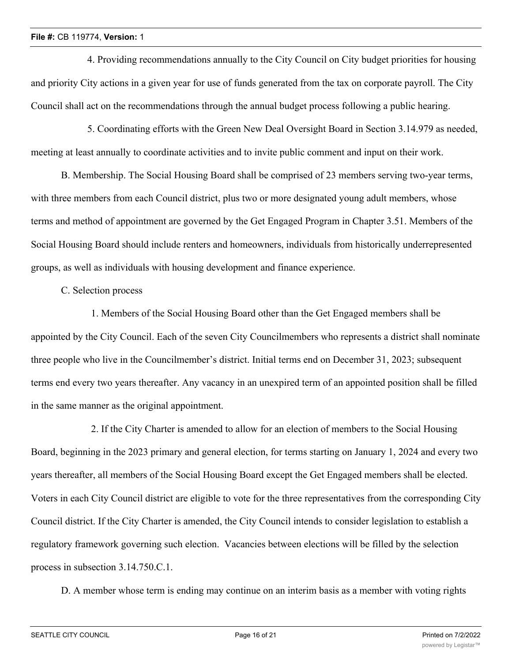4. Providing recommendations annually to the City Council on City budget priorities for housing and priority City actions in a given year for use of funds generated from the tax on corporate payroll. The City Council shall act on the recommendations through the annual budget process following a public hearing.

5. Coordinating efforts with the Green New Deal Oversight Board in Section 3.14.979 as needed, meeting at least annually to coordinate activities and to invite public comment and input on their work.

B. Membership. The Social Housing Board shall be comprised of 23 members serving two-year terms, with three members from each Council district, plus two or more designated young adult members, whose terms and method of appointment are governed by the Get Engaged Program in Chapter 3.51. Members of the Social Housing Board should include renters and homeowners, individuals from historically underrepresented groups, as well as individuals with housing development and finance experience.

## C. Selection process

1. Members of the Social Housing Board other than the Get Engaged members shall be appointed by the City Council. Each of the seven City Councilmembers who represents a district shall nominate three people who live in the Councilmember's district. Initial terms end on December 31, 2023; subsequent terms end every two years thereafter. Any vacancy in an unexpired term of an appointed position shall be filled in the same manner as the original appointment.

2. If the City Charter is amended to allow for an election of members to the Social Housing Board, beginning in the 2023 primary and general election, for terms starting on January 1, 2024 and every two years thereafter, all members of the Social Housing Board except the Get Engaged members shall be elected. Voters in each City Council district are eligible to vote for the three representatives from the corresponding City Council district. If the City Charter is amended, the City Council intends to consider legislation to establish a regulatory framework governing such election. Vacancies between elections will be filled by the selection process in subsection 3.14.750.C.1.

D. A member whose term is ending may continue on an interim basis as a member with voting rights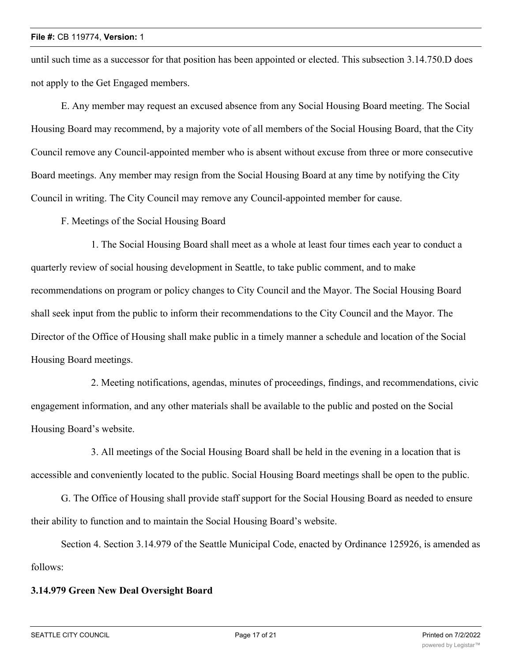until such time as a successor for that position has been appointed or elected. This subsection 3.14.750.D does not apply to the Get Engaged members.

E. Any member may request an excused absence from any Social Housing Board meeting. The Social Housing Board may recommend, by a majority vote of all members of the Social Housing Board, that the City Council remove any Council-appointed member who is absent without excuse from three or more consecutive Board meetings. Any member may resign from the Social Housing Board at any time by notifying the City Council in writing. The City Council may remove any Council-appointed member for cause.

F. Meetings of the Social Housing Board

1. The Social Housing Board shall meet as a whole at least four times each year to conduct a quarterly review of social housing development in Seattle, to take public comment, and to make recommendations on program or policy changes to City Council and the Mayor. The Social Housing Board shall seek input from the public to inform their recommendations to the City Council and the Mayor. The Director of the Office of Housing shall make public in a timely manner a schedule and location of the Social Housing Board meetings.

2. Meeting notifications, agendas, minutes of proceedings, findings, and recommendations, civic engagement information, and any other materials shall be available to the public and posted on the Social Housing Board's website.

3. All meetings of the Social Housing Board shall be held in the evening in a location that is accessible and conveniently located to the public. Social Housing Board meetings shall be open to the public.

G. The Office of Housing shall provide staff support for the Social Housing Board as needed to ensure their ability to function and to maintain the Social Housing Board's website.

Section 4. Section 3.14.979 of the Seattle Municipal Code, enacted by Ordinance 125926, is amended as follows:

## **3.14.979 Green New Deal Oversight Board**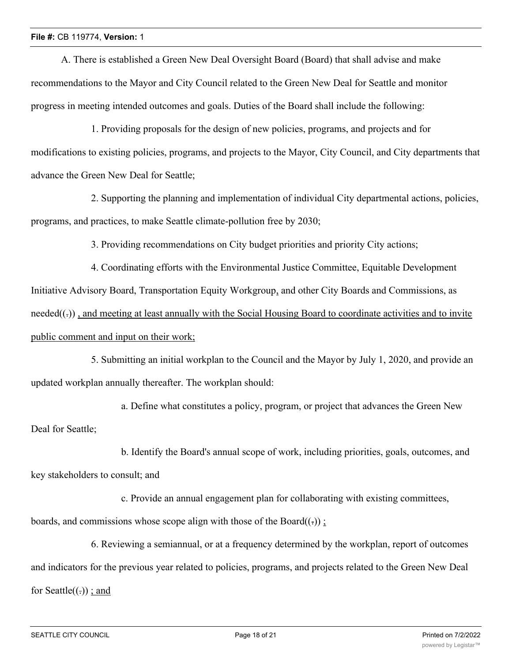A. There is established a Green New Deal Oversight Board (Board) that shall advise and make recommendations to the Mayor and City Council related to the Green New Deal for Seattle and monitor progress in meeting intended outcomes and goals. Duties of the Board shall include the following:

1. Providing proposals for the design of new policies, programs, and projects and for modifications to existing policies, programs, and projects to the Mayor, City Council, and City departments that advance the Green New Deal for Seattle;

2. Supporting the planning and implementation of individual City departmental actions, policies, programs, and practices, to make Seattle climate-pollution free by 2030;

3. Providing recommendations on City budget priorities and priority City actions;

4. Coordinating efforts with the Environmental Justice Committee, Equitable Development Initiative Advisory Board, Transportation Equity Workgroup, and other City Boards and Commissions, as needed((-)), and meeting at least annually with the Social Housing Board to coordinate activities and to invite public comment and input on their work;

5. Submitting an initial workplan to the Council and the Mayor by July 1, 2020, and provide an updated workplan annually thereafter. The workplan should:

a. Define what constitutes a policy, program, or project that advances the Green New Deal for Seattle;

b. Identify the Board's annual scope of work, including priorities, goals, outcomes, and key stakeholders to consult; and

c. Provide an annual engagement plan for collaborating with existing committees,

boards, and commissions whose scope align with those of the Board $((.)$ ;

6. Reviewing a semiannual, or at a frequency determined by the workplan, report of outcomes and indicators for the previous year related to policies, programs, and projects related to the Green New Deal for Seattle $((.)$ ; and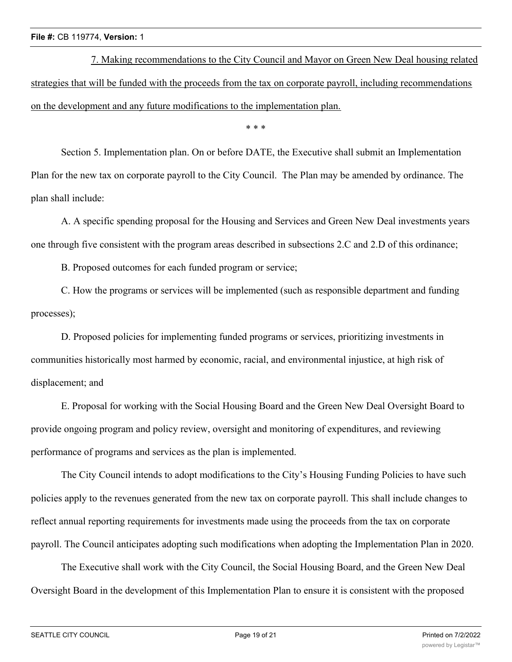7. Making recommendations to the City Council and Mayor on Green New Deal housing related strategies that will be funded with the proceeds from the tax on corporate payroll, including recommendations on the development and any future modifications to the implementation plan.

\* \* \*

Section 5. Implementation plan. On or before DATE, the Executive shall submit an Implementation Plan for the new tax on corporate payroll to the City Council. The Plan may be amended by ordinance. The plan shall include:

A. A specific spending proposal for the Housing and Services and Green New Deal investments years one through five consistent with the program areas described in subsections 2.C and 2.D of this ordinance;

B. Proposed outcomes for each funded program or service;

C. How the programs or services will be implemented (such as responsible department and funding processes);

D. Proposed policies for implementing funded programs or services, prioritizing investments in communities historically most harmed by economic, racial, and environmental injustice, at high risk of displacement; and

E. Proposal for working with the Social Housing Board and the Green New Deal Oversight Board to provide ongoing program and policy review, oversight and monitoring of expenditures, and reviewing performance of programs and services as the plan is implemented.

The City Council intends to adopt modifications to the City's Housing Funding Policies to have such policies apply to the revenues generated from the new tax on corporate payroll. This shall include changes to reflect annual reporting requirements for investments made using the proceeds from the tax on corporate payroll. The Council anticipates adopting such modifications when adopting the Implementation Plan in 2020.

The Executive shall work with the City Council, the Social Housing Board, and the Green New Deal Oversight Board in the development of this Implementation Plan to ensure it is consistent with the proposed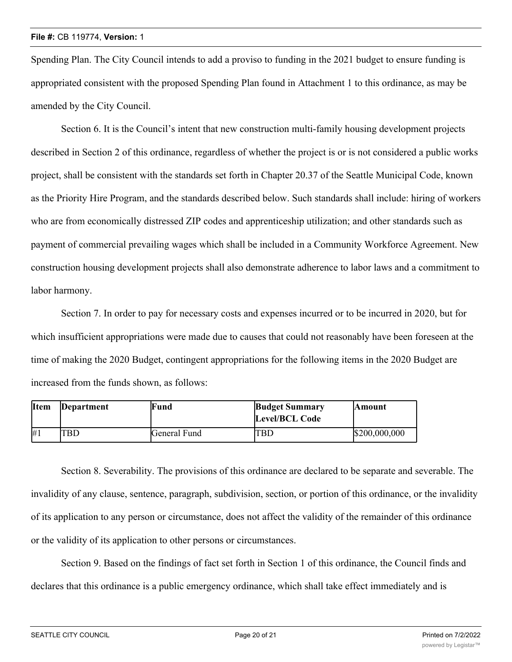Spending Plan. The City Council intends to add a proviso to funding in the 2021 budget to ensure funding is appropriated consistent with the proposed Spending Plan found in Attachment 1 to this ordinance, as may be amended by the City Council.

Section 6. It is the Council's intent that new construction multi-family housing development projects described in Section 2 of this ordinance, regardless of whether the project is or is not considered a public works project, shall be consistent with the standards set forth in Chapter 20.37 of the Seattle Municipal Code, known as the Priority Hire Program, and the standards described below. Such standards shall include: hiring of workers who are from economically distressed ZIP codes and apprenticeship utilization; and other standards such as payment of commercial prevailing wages which shall be included in a Community Workforce Agreement. New construction housing development projects shall also demonstrate adherence to labor laws and a commitment to labor harmony.

Section 7. In order to pay for necessary costs and expenses incurred or to be incurred in 2020, but for which insufficient appropriations were made due to causes that could not reasonably have been foreseen at the time of making the 2020 Budget, contingent appropriations for the following items in the 2020 Budget are increased from the funds shown, as follows:

| <b>Item</b> | Department | lFund        | <b>Budget Summary</b> | <b>Amount</b> |
|-------------|------------|--------------|-----------------------|---------------|
|             |            |              | <b>Level/BCL Code</b> |               |
| #1          | TBD        | General Fund | TBD                   | \$200,000,000 |

Section 8. Severability. The provisions of this ordinance are declared to be separate and severable. The invalidity of any clause, sentence, paragraph, subdivision, section, or portion of this ordinance, or the invalidity of its application to any person or circumstance, does not affect the validity of the remainder of this ordinance or the validity of its application to other persons or circumstances.

Section 9. Based on the findings of fact set forth in Section 1 of this ordinance, the Council finds and declares that this ordinance is a public emergency ordinance, which shall take effect immediately and is